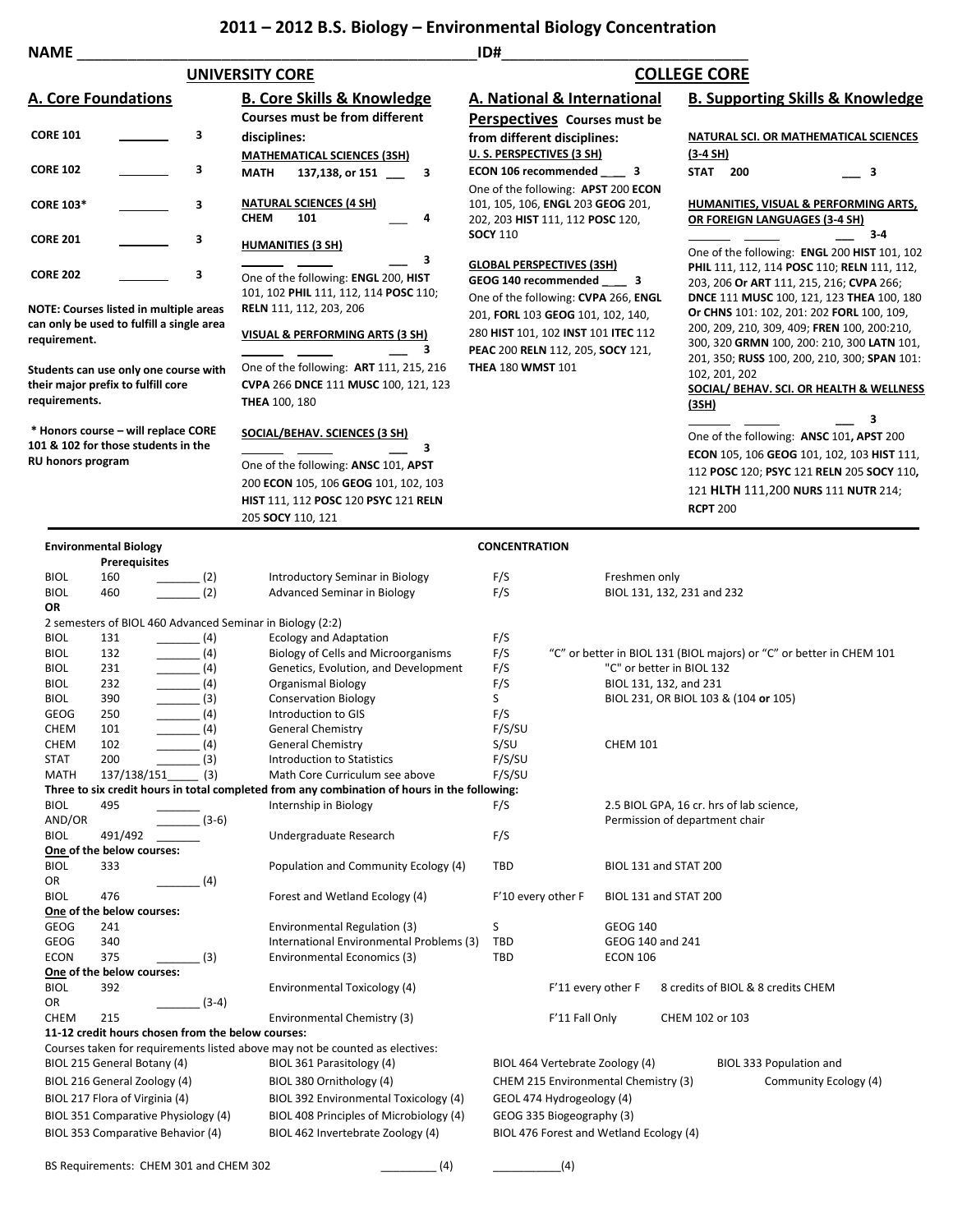## **2011 – 2012 B.S. Biology – Environmental Biology Concentration**

| <b>NAME</b>                                                                                                                                               |                                                                             |                                                                                                  |                                                                                                               | ID#                                                                                                           |                                                                                                    |                    |                                                                                                                                |                                                                                                                                                                                                                                                                                                                                |            |       |
|-----------------------------------------------------------------------------------------------------------------------------------------------------------|-----------------------------------------------------------------------------|--------------------------------------------------------------------------------------------------|---------------------------------------------------------------------------------------------------------------|---------------------------------------------------------------------------------------------------------------|----------------------------------------------------------------------------------------------------|--------------------|--------------------------------------------------------------------------------------------------------------------------------|--------------------------------------------------------------------------------------------------------------------------------------------------------------------------------------------------------------------------------------------------------------------------------------------------------------------------------|------------|-------|
|                                                                                                                                                           |                                                                             |                                                                                                  | <b>UNIVERSITY CORE</b>                                                                                        |                                                                                                               |                                                                                                    |                    | <b>COLLEGE CORE</b>                                                                                                            |                                                                                                                                                                                                                                                                                                                                |            |       |
| <b>A. Core Foundations</b>                                                                                                                                |                                                                             |                                                                                                  | <b>B. Core Skills &amp; Knowledge</b>                                                                         |                                                                                                               | A. National & International                                                                        |                    |                                                                                                                                | <b>B. Supporting Skills &amp; Knowledge</b>                                                                                                                                                                                                                                                                                    |            |       |
|                                                                                                                                                           |                                                                             |                                                                                                  | <b>Courses must be from different</b>                                                                         | Perspectives Courses must be                                                                                  |                                                                                                    |                    |                                                                                                                                |                                                                                                                                                                                                                                                                                                                                |            |       |
| <b>CORE 101</b><br>3                                                                                                                                      |                                                                             |                                                                                                  | disciplines:                                                                                                  | from different disciplines:                                                                                   |                                                                                                    |                    |                                                                                                                                | NATURAL SCI. OR MATHEMATICAL SCIENCES                                                                                                                                                                                                                                                                                          |            |       |
|                                                                                                                                                           |                                                                             |                                                                                                  | <b>MATHEMATICAL SCIENCES (3SH)</b>                                                                            | U. S. PERSPECTIVES (3 SH)                                                                                     |                                                                                                    |                    | $(3-4 SH)$                                                                                                                     |                                                                                                                                                                                                                                                                                                                                |            |       |
| <b>CORE 102</b><br>З                                                                                                                                      |                                                                             |                                                                                                  | 137,138, or 151<br><b>MATH</b><br>3                                                                           | ECON 106 recommended ______ 3                                                                                 |                                                                                                    |                    | <b>STAT 200</b>                                                                                                                |                                                                                                                                                                                                                                                                                                                                | $\equiv$ 3 |       |
| з<br><b>CORE 103*</b>                                                                                                                                     |                                                                             |                                                                                                  | <b>NATURAL SCIENCES (4 SH)</b><br><b>CHEM</b><br>101<br>4                                                     | One of the following: APST 200 ECON<br>101, 105, 106, ENGL 203 GEOG 201,<br>202, 203 HIST 111, 112 POSC 120,  |                                                                                                    |                    |                                                                                                                                | HUMANITIES, VISUAL & PERFORMING ARTS,<br>OR FOREIGN LANGUAGES (3-4 SH)                                                                                                                                                                                                                                                         |            |       |
| <b>CORE 201</b>                                                                                                                                           |                                                                             | З                                                                                                | <b>HUMANITIES (3 SH)</b>                                                                                      | <b>SOCY 110</b>                                                                                               |                                                                                                    |                    |                                                                                                                                |                                                                                                                                                                                                                                                                                                                                |            | $3-4$ |
| <b>CORE 202</b><br>3<br><b>NOTE: Courses listed in multiple areas</b>                                                                                     |                                                                             |                                                                                                  | 3<br>One of the following: ENGL 200, HIST<br>101, 102 PHIL 111, 112, 114 POSC 110;<br>RELN 111, 112, 203, 206 |                                                                                                               | <b>GLOBAL PERSPECTIVES (3SH)</b><br>GEOG 140 recommended 3<br>One of the following: CVPA 266, ENGL |                    |                                                                                                                                | One of the following: ENGL 200 HIST 101, 102<br>PHIL 111, 112, 114 POSC 110; RELN 111, 112,<br>203, 206 Or ART 111, 215, 216; CVPA 266;<br>DNCE 111 MUSC 100, 121, 123 THEA 100, 180<br>Or CHNS 101: 102, 201: 202 FORL 100, 109,<br>200, 209, 210, 309, 409; FREN 100, 200:210,<br>300, 320 GRMN 100, 200: 210, 300 LATN 101, |            |       |
| can only be used to fulfill a single area<br>requirement.<br>Students can use only one course with<br>their major prefix to fulfill core<br>requirements. |                                                                             |                                                                                                  | VISUAL & PERFORMING ARTS (3 SH)<br>3                                                                          | 201, FORL 103 GEOG 101, 102, 140,<br>280 HIST 101, 102 INST 101 ITEC 112<br>PEAC 200 RELN 112, 205, SOCY 121, |                                                                                                    |                    |                                                                                                                                |                                                                                                                                                                                                                                                                                                                                |            |       |
|                                                                                                                                                           |                                                                             |                                                                                                  | One of the following: ART 111, 215, 216<br>CVPA 266 DNCE 111 MUSC 100, 121, 123<br><b>THEA 100, 180</b>       | <b>THEA 180 WMST 101</b>                                                                                      |                                                                                                    |                    | 201, 350; RUSS 100, 200, 210, 300; SPAN 101:<br>102, 201, 202<br>SOCIAL/ BEHAV. SCI. OR HEALTH & WELLNESS<br><u>(3SH)</u><br>з |                                                                                                                                                                                                                                                                                                                                |            |       |
| RU honors program                                                                                                                                         | * Honors course - will replace CORE<br>101 & 102 for those students in the  |                                                                                                  | SOCIAL/BEHAV. SCIENCES (3 SH)<br>з<br>One of the following: ANSC 101, APST                                    |                                                                                                               |                                                                                                    |                    |                                                                                                                                | One of the following: ANSC 101, APST 200<br><b>ECON 105, 106 GEOG 101, 102, 103 HIST 111,</b>                                                                                                                                                                                                                                  |            |       |
|                                                                                                                                                           |                                                                             |                                                                                                  | 200 ECON 105, 106 GEOG 101, 102, 103<br>HIST 111, 112 POSC 120 PSYC 121 RELN<br>205 SOCY 110, 121             |                                                                                                               |                                                                                                    |                    |                                                                                                                                | 112 POSC 120; PSYC 121 RELN 205 SOCY 110,<br>121 HLTH 111,200 NURS 111 NUTR 214;<br><b>RCPT 200</b>                                                                                                                                                                                                                            |            |       |
|                                                                                                                                                           | <b>Environmental Biology</b><br><b>Prerequisites</b>                        |                                                                                                  |                                                                                                               | <b>CONCENTRATION</b>                                                                                          |                                                                                                    |                    |                                                                                                                                |                                                                                                                                                                                                                                                                                                                                |            |       |
| <b>BIOL</b>                                                                                                                                               | 160                                                                         | $\frac{1}{2}$                                                                                    | Introductory Seminar in Biology                                                                               | F/S                                                                                                           |                                                                                                    | Freshmen only      |                                                                                                                                |                                                                                                                                                                                                                                                                                                                                |            |       |
| <b>BIOL</b>                                                                                                                                               | 460                                                                         | (2)                                                                                              | <b>Advanced Seminar in Biology</b>                                                                            | F/S                                                                                                           |                                                                                                    |                    | BIOL 131, 132, 231 and 232                                                                                                     |                                                                                                                                                                                                                                                                                                                                |            |       |
| OR                                                                                                                                                        |                                                                             |                                                                                                  |                                                                                                               |                                                                                                               |                                                                                                    |                    |                                                                                                                                |                                                                                                                                                                                                                                                                                                                                |            |       |
|                                                                                                                                                           |                                                                             |                                                                                                  | 2 semesters of BIOL 460 Advanced Seminar in Biology (2:2)<br><b>Ecology and Adaptation</b>                    |                                                                                                               |                                                                                                    |                    |                                                                                                                                |                                                                                                                                                                                                                                                                                                                                |            |       |
| <b>BIOL</b><br><b>BIOL</b>                                                                                                                                | 131<br>132                                                                  | $\frac{1}{\sqrt{1-\frac{1}{2}}}\left(4\right)$<br>$\frac{1}{\sqrt{1-\frac{1}{2}}}\left(4\right)$ | Biology of Cells and Microorganisms                                                                           | F/S<br>F/S                                                                                                    |                                                                                                    |                    |                                                                                                                                | "C" or better in BIOL 131 (BIOL majors) or "C" or better in CHEM 101                                                                                                                                                                                                                                                           |            |       |
| <b>BIOL</b>                                                                                                                                               | 231                                                                         | $\frac{1}{\sqrt{1-\frac{1}{2}}}\left(4\right)$                                                   | Genetics, Evolution, and Development                                                                          | F/S                                                                                                           |                                                                                                    |                    | "C" or better in BIOL 132                                                                                                      |                                                                                                                                                                                                                                                                                                                                |            |       |
| <b>BIOL</b>                                                                                                                                               | 232                                                                         | $\frac{1}{2}$ (4)                                                                                | Organismal Biology                                                                                            | F/S                                                                                                           |                                                                                                    |                    | BIOL 131, 132, and 231                                                                                                         |                                                                                                                                                                                                                                                                                                                                |            |       |
| BIOL                                                                                                                                                      | 390                                                                         | $\frac{1}{\sqrt{3}}$                                                                             | <b>Conservation Biology</b>                                                                                   | S                                                                                                             |                                                                                                    |                    |                                                                                                                                | BIOL 231, OR BIOL 103 & (104 or 105)                                                                                                                                                                                                                                                                                           |            |       |
| <b>GEOG</b>                                                                                                                                               | 250                                                                         | (4)                                                                                              | Introduction to GIS                                                                                           | F/S                                                                                                           |                                                                                                    |                    |                                                                                                                                |                                                                                                                                                                                                                                                                                                                                |            |       |
| <b>CHEM</b>                                                                                                                                               | 101                                                                         | (4)                                                                                              | <b>General Chemistry</b>                                                                                      | F/S/SU                                                                                                        |                                                                                                    |                    |                                                                                                                                |                                                                                                                                                                                                                                                                                                                                |            |       |
| CHEM                                                                                                                                                      | 102                                                                         | (4)                                                                                              | <b>General Chemistry</b>                                                                                      | S/SU                                                                                                          |                                                                                                    | <b>CHEM 101</b>    |                                                                                                                                |                                                                                                                                                                                                                                                                                                                                |            |       |
| STAT<br><b>MATH</b>                                                                                                                                       | 200<br>137/138/151                                                          | (3)<br>(3)                                                                                       | Introduction to Statistics<br>Math Core Curriculum see above                                                  | F/S/SU<br>F/S/SU                                                                                              |                                                                                                    |                    |                                                                                                                                |                                                                                                                                                                                                                                                                                                                                |            |       |
|                                                                                                                                                           |                                                                             |                                                                                                  | Three to six credit hours in total completed from any combination of hours in the following:                  |                                                                                                               |                                                                                                    |                    |                                                                                                                                |                                                                                                                                                                                                                                                                                                                                |            |       |
| <b>BIOL</b><br>AND/OR                                                                                                                                     | 495                                                                         | $(3-6)$                                                                                          | Internship in Biology                                                                                         | F/S                                                                                                           |                                                                                                    |                    | Permission of department chair                                                                                                 | 2.5 BIOL GPA, 16 cr. hrs of lab science,                                                                                                                                                                                                                                                                                       |            |       |
| <b>BIOL</b>                                                                                                                                               | 491/492                                                                     |                                                                                                  | Undergraduate Research                                                                                        | F/S                                                                                                           |                                                                                                    |                    |                                                                                                                                |                                                                                                                                                                                                                                                                                                                                |            |       |
| <b>BIOL</b><br>OR                                                                                                                                         | One of the below courses:<br>333                                            | (4)                                                                                              | Population and Community Ecology (4)                                                                          | TBD                                                                                                           |                                                                                                    |                    | BIOL 131 and STAT 200                                                                                                          |                                                                                                                                                                                                                                                                                                                                |            |       |
| <b>BIOL</b>                                                                                                                                               | 476<br>One of the below courses:                                            |                                                                                                  | Forest and Wetland Ecology (4)                                                                                |                                                                                                               | F'10 every other F                                                                                 |                    | BIOL 131 and STAT 200                                                                                                          |                                                                                                                                                                                                                                                                                                                                |            |       |
| GEOG                                                                                                                                                      | 241                                                                         |                                                                                                  | Environmental Regulation (3)                                                                                  | S                                                                                                             |                                                                                                    | <b>GEOG 140</b>    |                                                                                                                                |                                                                                                                                                                                                                                                                                                                                |            |       |
| <b>GEOG</b>                                                                                                                                               | 340                                                                         |                                                                                                  | International Environmental Problems (3)                                                                      | TBD                                                                                                           |                                                                                                    |                    | GEOG 140 and 241                                                                                                               |                                                                                                                                                                                                                                                                                                                                |            |       |
| <b>ECON</b>                                                                                                                                               | 375<br>One of the below courses:                                            | (3)                                                                                              | Environmental Economics (3)                                                                                   | TBD                                                                                                           |                                                                                                    | <b>ECON 106</b>    |                                                                                                                                |                                                                                                                                                                                                                                                                                                                                |            |       |
| <b>BIOL</b><br>OR                                                                                                                                         | 392                                                                         | $(3-4)$                                                                                          | Environmental Toxicology (4)                                                                                  |                                                                                                               |                                                                                                    | F'11 every other F |                                                                                                                                | 8 credits of BIOL & 8 credits CHEM                                                                                                                                                                                                                                                                                             |            |       |
| <b>CHEM</b>                                                                                                                                               | 215<br>11-12 credit hours chosen from the below courses:                    |                                                                                                  | Environmental Chemistry (3)                                                                                   |                                                                                                               | F'11 Fall Only                                                                                     |                    | CHEM 102 or 103                                                                                                                |                                                                                                                                                                                                                                                                                                                                |            |       |
|                                                                                                                                                           |                                                                             |                                                                                                  | Courses taken for requirements listed above may not be counted as electives:                                  |                                                                                                               |                                                                                                    |                    |                                                                                                                                |                                                                                                                                                                                                                                                                                                                                |            |       |
|                                                                                                                                                           | BIOL 215 General Botany (4)                                                 |                                                                                                  | BIOL 361 Parasitology (4)                                                                                     |                                                                                                               | BIOL 464 Vertebrate Zoology (4)                                                                    |                    |                                                                                                                                | BIOL 333 Population and                                                                                                                                                                                                                                                                                                        |            |       |
| BIOL 216 General Zoology (4)                                                                                                                              |                                                                             |                                                                                                  | BIOL 380 Ornithology (4)                                                                                      |                                                                                                               | CHEM 215 Environmental Chemistry (3)                                                               |                    |                                                                                                                                | Community Ecology (4)                                                                                                                                                                                                                                                                                                          |            |       |
|                                                                                                                                                           | BIOL 217 Flora of Virginia (4)                                              |                                                                                                  | BIOL 392 Environmental Toxicology (4)                                                                         |                                                                                                               | GEOL 474 Hydrogeology (4)                                                                          |                    |                                                                                                                                |                                                                                                                                                                                                                                                                                                                                |            |       |
| BIOL 351 Comparative Physiology (4)                                                                                                                       |                                                                             |                                                                                                  | BIOL 408 Principles of Microbiology (4)                                                                       |                                                                                                               | GEOG 335 Biogeography (3)                                                                          |                    |                                                                                                                                |                                                                                                                                                                                                                                                                                                                                |            |       |
|                                                                                                                                                           | BIOL 353 Comparative Behavior (4)<br>BS Requirements: CHEM 301 and CHEM 302 |                                                                                                  | BIOL 462 Invertebrate Zoology (4)<br>(4)                                                                      |                                                                                                               | BIOL 476 Forest and Wetland Ecology (4)<br>(4)                                                     |                    |                                                                                                                                |                                                                                                                                                                                                                                                                                                                                |            |       |
|                                                                                                                                                           |                                                                             |                                                                                                  |                                                                                                               |                                                                                                               |                                                                                                    |                    |                                                                                                                                |                                                                                                                                                                                                                                                                                                                                |            |       |